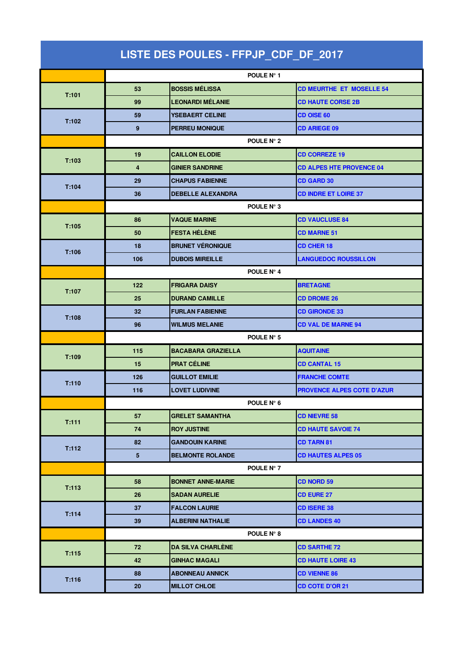| LISTE DES POULES - FFPJP_CDF_DF_2017 |                  |                           |                                 |  |  |
|--------------------------------------|------------------|---------------------------|---------------------------------|--|--|
|                                      |                  | POULE N° 1                |                                 |  |  |
| T:101                                | 53               | <b>BOSSIS MÉLISSA</b>     | <b>CD MEURTHE ET MOSELLE 54</b> |  |  |
|                                      | 99               | LEONARDI MÉLANIE          | <b>CD HAUTE CORSE 2B</b>        |  |  |
|                                      | 59               | <b>YSEBAERT CELINE</b>    | <b>CD OISE 60</b>               |  |  |
| T:102                                | $\boldsymbol{9}$ | <b>PERREU MONIQUE</b>     | <b>CD ARIEGE 09</b>             |  |  |
|                                      | POULE N° 2       |                           |                                 |  |  |
|                                      | 19               | <b>CAILLON ELODIE</b>     | <b>CD CORREZE 19</b>            |  |  |
| T:103                                | 4                | <b>GINIER SANDRINE</b>    | <b>CD ALPES HTE PROVENCE 04</b> |  |  |
| T:104                                | 29               | <b>CHAPUS FABIENNE</b>    | <b>CD GARD 30</b>               |  |  |
|                                      | 36               | <b>DEBELLE ALEXANDRA</b>  | <b>CD INDRE ET LOIRE 37</b>     |  |  |
|                                      |                  | POULE N° 3                |                                 |  |  |
| T:105                                | 86               | <b>VAQUE MARINE</b>       | <b>CD VAUCLUSE 84</b>           |  |  |
|                                      | 50               | <b>FESTA HÉLÈNE</b>       | <b>CD MARNE 51</b>              |  |  |
| T:106                                | 18               | <b>BRUNET VÉRONIQUE</b>   | <b>CD CHER 18</b>               |  |  |
|                                      | 106              | <b>DUBOIS MIREILLE</b>    | <b>LANGUEDOC ROUSSILLON</b>     |  |  |
|                                      |                  | POULE N° 4                |                                 |  |  |
| T:107                                | 122              | <b>FRIGARA DAISY</b>      | <b>BRETAGNE</b>                 |  |  |
|                                      | 25               | <b>DURAND CAMILLE</b>     | <b>CD DROME 26</b>              |  |  |
| T:108                                | 32               | <b>FURLAN FABIENNE</b>    | <b>CD GIRONDE 33</b>            |  |  |
|                                      | 96               | <b>WILMUS MELANIE</b>     | <b>CD VAL DE MARNE 94</b>       |  |  |
|                                      | POULE N° 5       |                           |                                 |  |  |
| T:109                                | 115              | <b>BACABARA GRAZIELLA</b> | <b>AQUITAINE</b>                |  |  |
|                                      | 15               | <b>PRAT CÉLINE</b>        | <b>CD CANTAL 15</b>             |  |  |
| T:110                                | 126              | <b>GUILLOT EMILIE</b>     | <b>FRANCHE COMTE</b>            |  |  |
|                                      | 116              | <b>LOVET LUDIVINE</b>     | PROVENCE ALPES COTE D'AZUR      |  |  |
|                                      | POULE N° 6       |                           |                                 |  |  |
| T:111                                | 57               | <b>GRELET SAMANTHA</b>    | <b>CD NIEVRE 58</b>             |  |  |
|                                      | 74               | <b>ROY JUSTINE</b>        | <b>CD HAUTE SAVOIE 74</b>       |  |  |
| T:112                                | 82               | <b>GANDOUIN KARINE</b>    | <b>CD TARN 81</b>               |  |  |
|                                      | $5\phantom{.0}$  | <b>BELMONTE ROLANDE</b>   | <b>CD HAUTES ALPES 05</b>       |  |  |
|                                      |                  | POULE N° 7                |                                 |  |  |
| T:113                                | 58               | <b>BONNET ANNE-MARIE</b>  | <b>CD NORD 59</b>               |  |  |
|                                      | 26               | <b>SADAN AURELIE</b>      | <b>CD EURE 27</b>               |  |  |
| T:114                                | 37               | <b>FALCON LAURIE</b>      | <b>CD ISERE 38</b>              |  |  |
|                                      | 39               | <b>ALBERINI NATHALIE</b>  | <b>CD LANDES 40</b>             |  |  |
|                                      |                  | POULE N° 8                |                                 |  |  |
| T:115                                | 72               | <b>DA SILVA CHARLÈNE</b>  | <b>CD SARTHE 72</b>             |  |  |
|                                      | 42               | <b>GINHAC MAGALI</b>      | <b>CD HAUTE LOIRE 43</b>        |  |  |
| T:116                                | 88               | <b>ABONNEAU ANNICK</b>    | <b>CD VIENNE 86</b>             |  |  |
|                                      | 20               | <b>MILLOT CHLOE</b>       | <b>CD COTE D'OR 21</b>          |  |  |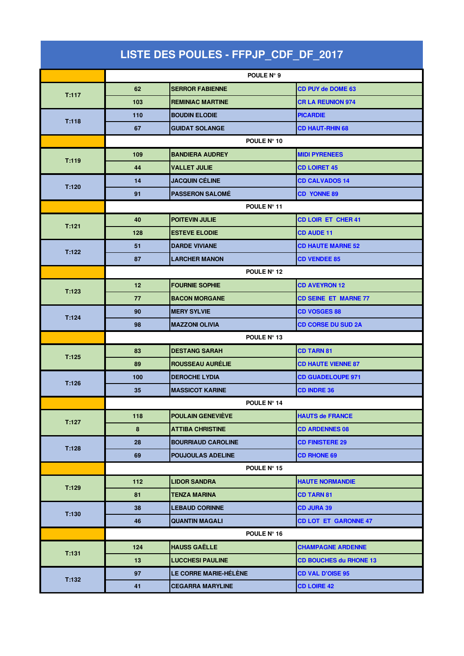| LISTE DES POULES - FFPJP_CDF_DF_2017 |             |                              |                               |  |  |
|--------------------------------------|-------------|------------------------------|-------------------------------|--|--|
|                                      |             | POULE N° 9                   |                               |  |  |
| T:117                                | 62          | <b>SERROR FABIENNE</b>       | <b>CD PUY de DOME 63</b>      |  |  |
|                                      | 103         | <b>REMINIAC MARTINE</b>      | <b>CR LA REUNION 974</b>      |  |  |
|                                      | 110         | <b>BOUDIN ELODIE</b>         | <b>PICARDIE</b>               |  |  |
| T:118                                | 67          | <b>GUIDAT SOLANGE</b>        | <b>CD HAUT-RHIN 68</b>        |  |  |
|                                      | POULE N° 10 |                              |                               |  |  |
|                                      | 109         | <b>BANDIERA AUDREY</b>       | <b>MIDI PYRENEES</b>          |  |  |
| T:119                                | 44          | VALLET JULIE                 | <b>CD LOIRET 45</b>           |  |  |
| T:120                                | 14          | <b>JACQUIN CÉLINE</b>        | <b>CD CALVADOS 14</b>         |  |  |
|                                      | 91          | <b>PASSERON SALOMÉ</b>       | <b>CD YONNE 89</b>            |  |  |
|                                      | POULE N° 11 |                              |                               |  |  |
| T:121                                | 40          | <b>POITEVIN JULIE</b>        | <b>CD LOIR ET CHER 41</b>     |  |  |
|                                      | 128         | <b>ESTEVE ELODIE</b>         | <b>CD AUDE 11</b>             |  |  |
| T:122                                | 51          | <b>DARDE VIVIANE</b>         | <b>CD HAUTE MARNE 52</b>      |  |  |
|                                      | 87          | LARCHER MANON                | <b>CD VENDEE 85</b>           |  |  |
|                                      | POULE N° 12 |                              |                               |  |  |
| T:123                                | 12          | <b>FOURNIE SOPHIE</b>        | <b>CD AVEYRON 12</b>          |  |  |
|                                      | 77          | <b>BACON MORGANE</b>         | <b>CD SEINE ET MARNE 77</b>   |  |  |
| T:124                                | 90          | <b>MERY SYLVIE</b>           | <b>CD VOSGES 88</b>           |  |  |
|                                      | 98          | <b>MAZZONI OLIVIA</b>        | <b>CD CORSE DU SUD 2A</b>     |  |  |
|                                      | POULE Nº 13 |                              |                               |  |  |
| T:125                                | 83          | <b>DESTANG SARAH</b>         | <b>CD TARN 81</b>             |  |  |
|                                      | 89          | <b>ROUSSEAU AURELIE</b>      | <b>CD HAUTE VIENNE 87</b>     |  |  |
| T:126                                | 100         | <b>DEROCHE LYDIA</b>         | <b>CD GUADELOUPE 971</b>      |  |  |
|                                      | 35          | <b>MASSICOT KARINE</b>       | CD INDRE 36                   |  |  |
|                                      |             | POULE N° 14                  |                               |  |  |
| T:127                                | 118         | POULAIN GENEVIÈVE            | <b>HAUTS de FRANCE</b>        |  |  |
|                                      | 8           | <b>ATTIBA CHRISTINE</b>      | <b>CD ARDENNES 08</b>         |  |  |
| T:128                                | 28          | <b>BOURRIAUD CAROLINE</b>    | <b>CD FINISTERE 29</b>        |  |  |
|                                      | 69          | <b>POUJOULAS ADELINE</b>     | <b>CD RHONE 69</b>            |  |  |
|                                      |             | POULE N° 15                  |                               |  |  |
| T:129                                | 112         | <b>LIDOR SANDRA</b>          | <b>HAUTE NORMANDIE</b>        |  |  |
|                                      | 81          | <b>TENZA MARINA</b>          | <b>CD TARN 81</b>             |  |  |
| T:130                                | 38          | <b>LEBAUD CORINNE</b>        | <b>CD JURA 39</b>             |  |  |
|                                      | 46          | <b>QUANTIN MAGALI</b>        | <b>CD LOT ET GARONNE 47</b>   |  |  |
|                                      |             | POULE N° 16                  |                               |  |  |
| T:131                                | 124         | <b>HAUSS GAËLLE</b>          | <b>CHAMPAGNE ARDENNE</b>      |  |  |
|                                      | 13          | <b>LUCCHESI PAULINE</b>      | <b>CD BOUCHES du RHONE 13</b> |  |  |
| T:132                                | 97          | <b>LE CORRE MARIE-HÉLÈNE</b> | <b>CD VAL D'OISE 95</b>       |  |  |
|                                      | 41          | <b>CEGARRA MARYLINE</b>      | <b>CD LOIRE 42</b>            |  |  |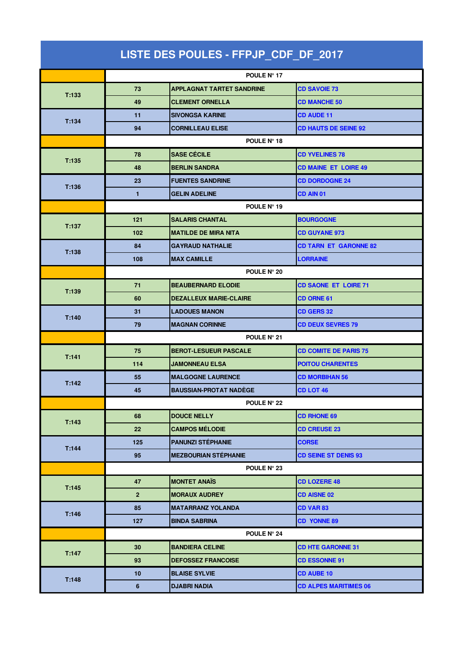| LISTE DES POULES - FFPJP_CDF_DF_2017 |                |                                  |                              |  |  |
|--------------------------------------|----------------|----------------------------------|------------------------------|--|--|
|                                      |                | POULE Nº 17                      |                              |  |  |
| T:133                                | 73             | <b>APPLAGNAT TARTET SANDRINE</b> | <b>CD SAVOIE 73</b>          |  |  |
|                                      | 49             | <b>CLEMENT ORNELLA</b>           | <b>CD MANCHE 50</b>          |  |  |
|                                      | 11             | <b>SIVONGSA KARINE</b>           | <b>CD AUDE 11</b>            |  |  |
| T:134                                | 94             | <b>CORNILLEAU ELISE</b>          | <b>CD HAUTS DE SEINE 92</b>  |  |  |
|                                      | POULE N° 18    |                                  |                              |  |  |
|                                      | 78             | <b>SASE CÉCILE</b>               | <b>CD YVELINES 78</b>        |  |  |
| T:135                                | 48             | <b>BERLIN SANDRA</b>             | <b>CD MAINE ET LOIRE 49</b>  |  |  |
| T:136                                | 23             | <b>FUENTES SANDRINE</b>          | <b>CD DORDOGNE 24</b>        |  |  |
|                                      | $\blacksquare$ | <b>GELIN ADELINE</b>             | <b>CD AIN 01</b>             |  |  |
|                                      | POULE Nº 19    |                                  |                              |  |  |
| T:137                                | 121            | <b>SALARIS CHANTAL</b>           | <b>BOURGOGNE</b>             |  |  |
|                                      | 102            | <b>MATILDE DE MIRA NITA</b>      | <b>CD GUYANE 973</b>         |  |  |
| T:138                                | 84             | <b>GAYRAUD NATHALIE</b>          | <b>CD TARN ET GARONNE 82</b> |  |  |
|                                      | 108            | <b>MAX CAMILLE</b>               | LORRAINE                     |  |  |
|                                      | POULE N° 20    |                                  |                              |  |  |
| T:139                                | 71             | <b>BEAUBERNARD ELODIE</b>        | <b>CD SAONE ET LOIRE 71</b>  |  |  |
|                                      | 60             | <b>DEZALLEUX MARIE-CLAIRE</b>    | <b>CD ORNE 61</b>            |  |  |
| T:140                                | 31             | <b>LADOUES MANON</b>             | <b>CD GERS 32</b>            |  |  |
|                                      | 79             | <b>MAGNAN CORINNE</b>            | <b>CD DEUX SEVRES 79</b>     |  |  |
|                                      | POULE N° 21    |                                  |                              |  |  |
| T:141                                | 75             | <b>BEROT-LESUEUR PASCALE</b>     | <b>CD COMITE DE PARIS 75</b> |  |  |
|                                      | 114            | <b>JAMONNEAU ELSA</b>            | <b>POITOU CHARENTES</b>      |  |  |
| T:142                                | 55             | <b>MALGOGNE LAURENCE</b>         | <b>CD MORBIHAN 56</b>        |  |  |
|                                      | 45             | <b>BAUSSIAN-PROTAT NADÈGE</b>    | CD LOT 46                    |  |  |
|                                      |                | POULE N° 22                      |                              |  |  |
| T:143                                | 68             | <b>DOUCE NELLY</b>               | <b>CD RHONE 69</b>           |  |  |
|                                      | 22             | <b>CAMPOS MÉLODIE</b>            | <b>CD CREUSE 23</b>          |  |  |
| T:144                                | 125            | <b>PANUNZI STÉPHANIE</b>         | <b>CORSE</b>                 |  |  |
|                                      | 95             | <b>MEZBOURIAN STÉPHANIE</b>      | <b>CD SEINE ST DENIS 93</b>  |  |  |
|                                      |                | POULE N° 23                      |                              |  |  |
| T:145                                | 47             | <b>MONTET ANAÏS</b>              | <b>CD LOZERE 48</b>          |  |  |
|                                      | $\overline{2}$ | <b>MORAUX AUDREY</b>             | <b>CD AISNE 02</b>           |  |  |
| T:146                                | 85             | <b>MATARRANZ YOLANDA</b>         | <b>CD VAR 83</b>             |  |  |
|                                      | 127            | <b>BINDA SABRINA</b>             | <b>CD YONNE 89</b>           |  |  |
|                                      |                | POULE N° 24                      |                              |  |  |
| T:147                                | 30             | <b>BANDIERA CELINE</b>           | <b>CD HTE GARONNE 31</b>     |  |  |
|                                      | 93             | <b>DEFOSSEZ FRANCOISE</b>        | <b>CD ESSONNE 91</b>         |  |  |
| T:148                                | 10             | <b>BLAISE SYLVIE</b>             | <b>CD AUBE 10</b>            |  |  |
|                                      | $\bf 6$        | DJABRI NADIA                     | <b>CD ALPES MARITIMES 06</b> |  |  |